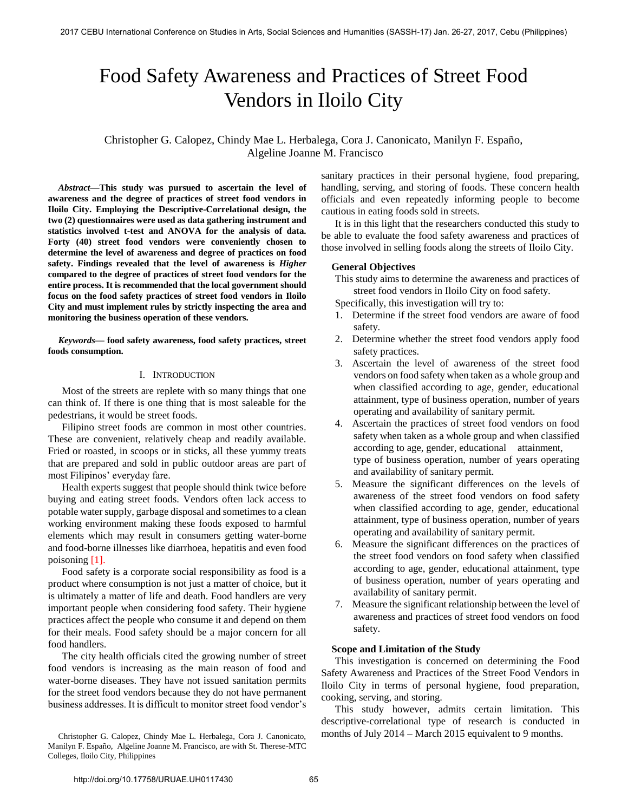# Food Safety Awareness and Practices of Street Food Vendors in Iloilo City

Christopher G. Calopez, Chindy Mae L. Herbalega, Cora J. Canonicato, Manilyn F. Españo, Algeline Joanne M. Francisco

*Abstract***—This study was pursued to ascertain the level of awareness and the degree of practices of street food vendors in Iloilo City. Employing the Descriptive-Correlational design, the two (2) questionnaires were used as data gathering instrument and statistics involved t-test and ANOVA for the analysis of data. Forty (40) street food vendors were conveniently chosen to determine the level of awareness and degree of practices on food safety. Findings revealed that the level of awareness is** *Higher* **compared to the degree of practices of street food vendors for the entire process. It is recommended that the local government should focus on the food safety practices of street food vendors in Iloilo City and must implement rules by strictly inspecting the area and monitoring the business operation of these vendors.** 

*Keywords***— food safety awareness, food safety practices, street foods consumption.** 

## I. INTRODUCTION

Most of the streets are replete with so many things that one can think of. If there is one thing that is most saleable for the pedestrians, it would be street foods.

Filipino street foods are common in most other countries. These are convenient, relatively cheap and readily available. Fried or roasted, in scoops or in sticks, all these yummy treats that are prepared and sold in public outdoor areas are part of most Filipinos' everyday fare.

Health experts suggest that people should think twice before buying and eating street foods. Vendors often lack access to potable water supply, garbage disposal and sometimes to a clean working environment making these foods exposed to harmful elements which may result in consumers getting water-borne and food-borne illnesses like diarrhoea, hepatitis and even food poisoning [1].

Food safety is a corporate social responsibility as food is a product where consumption is not just a matter of choice, but it is ultimately a matter of life and death. Food handlers are very important people when considering food safety. Their hygiene practices affect the people who consume it and depend on them for their meals. Food safety should be a major concern for all food handlers.

The city health officials cited the growing number of street food vendors is increasing as the main reason of food and water-borne diseases. They have not issued sanitation permits for the street food vendors because they do not have permanent business addresses. It is difficult to monitor street food vendor's

Christopher G. Calopez, Chindy Mae L. Herbalega, Cora J. Canonicato, Manilyn F. Españo, Algeline Joanne M. Francisco, are with St. Therese-MTC Colleges, Iloilo City, Philippines

sanitary practices in their personal hygiene, food preparing, handling, serving, and storing of foods. These concern health officials and even repeatedly informing people to become cautious in eating foods sold in streets.

It is in this light that the researchers conducted this study to be able to evaluate the food safety awareness and practices of those involved in selling foods along the streets of Iloilo City.

## **General Objectives**

This study aims to determine the awareness and practices of street food vendors in Iloilo City on food safety.

Specifically, this investigation will try to:

- 1. Determine if the street food vendors are aware of food safety.
- 2. Determine whether the street food vendors apply food safety practices.
- 3. Ascertain the level of awareness of the street food vendors on food safety when taken as a whole group and when classified according to age, gender, educational attainment, type of business operation, number of years operating and availability of sanitary permit.
- 4. Ascertain the practices of street food vendors on food safety when taken as a whole group and when classified according to age, gender, educational attainment, type of business operation, number of years operating and availability of sanitary permit.
- 5. Measure the significant differences on the levels of awareness of the street food vendors on food safety when classified according to age, gender, educational attainment, type of business operation, number of years operating and availability of sanitary permit.
- 6. Measure the significant differences on the practices of the street food vendors on food safety when classified according to age, gender, educational attainment, type of business operation, number of years operating and availability of sanitary permit.
- 7. Measure the significant relationship between the level of awareness and practices of street food vendors on food safety.

## **Scope and Limitation of the Study**

This investigation is concerned on determining the Food Safety Awareness and Practices of the Street Food Vendors in Iloilo City in terms of personal hygiene, food preparation, cooking, serving, and storing.

This study however, admits certain limitation. This descriptive-correlational type of research is conducted in months of July 2014 – March 2015 equivalent to 9 months.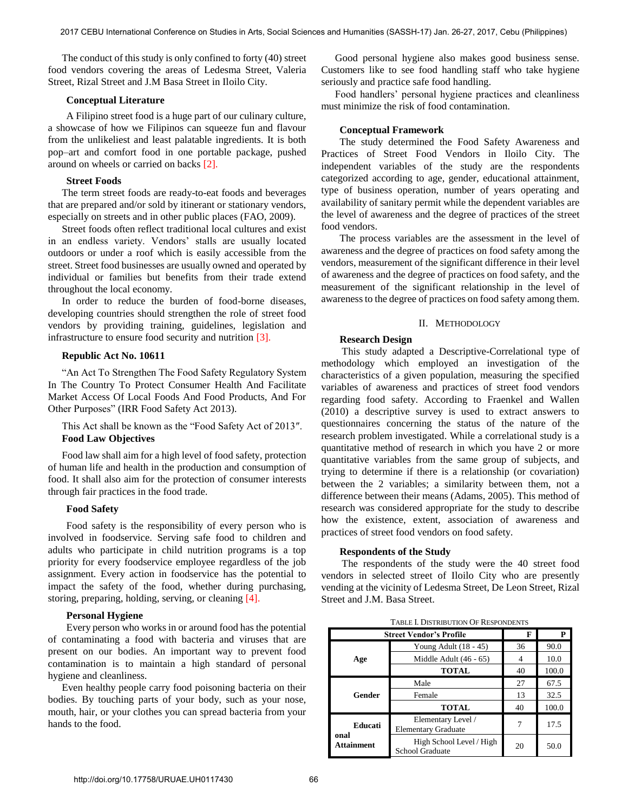The conduct of this study is only confined to forty (40) street food vendors covering the areas of Ledesma Street, Valeria Street, Rizal Street and J.M Basa Street in Iloilo City.

## **Conceptual Literature**

A Filipino street food is a huge part of our culinary culture, a showcase of how we Filipinos can squeeze fun and flavour from the unlikeliest and least palatable ingredients. It is both pop–art and comfort food in one portable package, pushed around on wheels or carried on backs [2].

#### **Street Foods**

The term street foods are ready-to-eat foods and beverages that are prepared and/or sold by itinerant or stationary vendors, especially on streets and in other public places (FAO, 2009).

Street foods often reflect traditional local cultures and exist in an endless variety. Vendors' stalls are usually located outdoors or under a roof which is easily accessible from the street. Street food businesses are usually owned and operated by individual or families but benefits from their trade extend throughout the local economy.

In order to reduce the burden of food-borne diseases, developing countries should strengthen the role of street food vendors by providing training, guidelines, legislation and infrastructure to ensure food security and nutrition [3].

## **Republic Act No. 10611**

"An Act To Strengthen The Food Safety Regulatory System In The Country To Protect Consumer Health And Facilitate Market Access Of Local Foods And Food Products, And For Other Purposes" (IRR Food Safety Act 2013).

This Act shall be known as the "Food Safety Act of 2013″. **Food Law Objectives**

Food law shall aim for a high level of food safety, protection of human life and health in the production and consumption of food. It shall also aim for the protection of consumer interests through fair practices in the food trade.

#### **Food Safety**

Food safety is the responsibility of every person who is involved in foodservice. Serving safe food to children and adults who participate in child nutrition programs is a top priority for every foodservice employee regardless of the job assignment. Every action in foodservice has the potential to impact the safety of the food, whether during purchasing, storing, preparing, holding, serving, or cleaning [4].

#### **Personal Hygiene**

Every person who works in or around food has the potential of contaminating a food with bacteria and viruses that are present on our bodies. An important way to prevent food contamination is to maintain a high standard of personal hygiene and cleanliness.

Even healthy people carry food poisoning bacteria on their bodies. By touching parts of your body, such as your nose, mouth, hair, or your clothes you can spread bacteria from your hands to the food.

Good personal hygiene also makes good business sense. Customers like to see food handling staff who take hygiene seriously and practice safe food handling.

Food handlers' personal hygiene practices and cleanliness must minimize the risk of food contamination.

## **Conceptual Framework**

The study determined the Food Safety Awareness and Practices of Street Food Vendors in Iloilo City. The independent variables of the study are the respondents categorized according to age, gender, educational attainment, type of business operation, number of years operating and availability of sanitary permit while the dependent variables are the level of awareness and the degree of practices of the street food vendors.

The process variables are the assessment in the level of awareness and the degree of practices on food safety among the vendors, measurement of the significant difference in their level of awareness and the degree of practices on food safety, and the measurement of the significant relationship in the level of awareness to the degree of practices on food safety among them.

#### II. METHODOLOGY

#### **Research Design**

This study adapted a Descriptive-Correlational type of methodology which employed an investigation of the characteristics of a given population, measuring the specified variables of awareness and practices of street food vendors regarding food safety. According to Fraenkel and Wallen (2010) a descriptive survey is used to extract answers to questionnaires concerning the status of the nature of the research problem investigated. While a correlational study is a quantitative method of research in which you have 2 or more quantitative variables from the same group of subjects, and trying to determine if there is a relationship (or covariation) between the 2 variables; a similarity between them, not a difference between their means (Adams, 2005). This method of research was considered appropriate for the study to describe how the existence, extent, association of awareness and practices of street food vendors on food safety.

#### **Respondents of the Study**

 The respondents of the study were the 40 street food vendors in selected street of Iloilo City who are presently vending at the vicinity of Ledesma Street, De Leon Street, Rizal Street and J.M. Basa Street.

TABLE I. DISTRIBUTION OF RESPONDENTS

| <b>Street Vendor's Profile</b> |                                                  | F  | P     |
|--------------------------------|--------------------------------------------------|----|-------|
| Age                            | Young Adult $(18 - 45)$                          | 36 | 90.0  |
|                                | Middle Adult (46 - 65)                           |    | 10.0  |
|                                | <b>TOTAL</b>                                     | 40 | 100.0 |
| Gender                         | Male                                             | 27 | 67.5  |
|                                | Female                                           | 13 | 32.5  |
|                                | <b>TOTAL</b>                                     | 40 | 100.0 |
| Educati                        | Elementary Level /<br><b>Elementary Graduate</b> |    | 17.5  |
| onal<br><b>Attainment</b>      | High School Level / High<br>School Graduate      | 20 | 50.0  |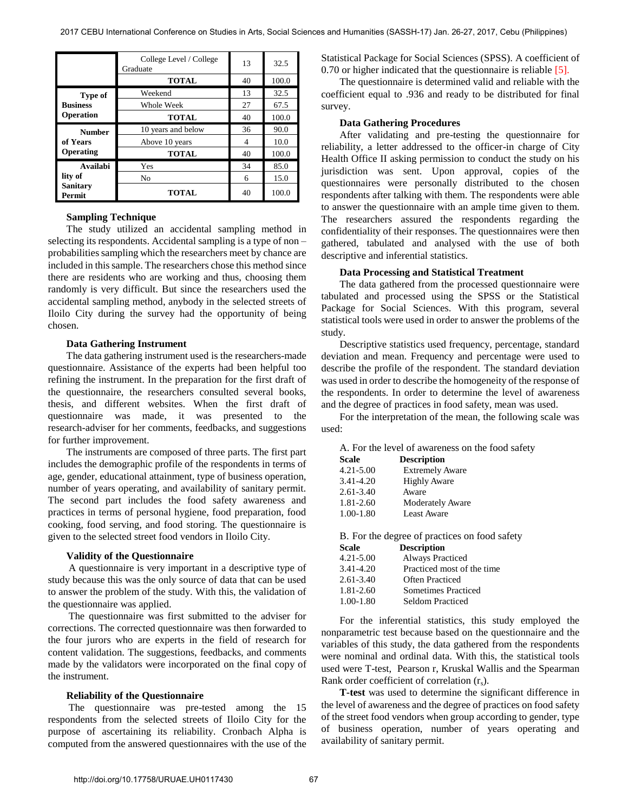|                           | College Level / College<br>Graduate | 13 | 32.5  |
|---------------------------|-------------------------------------|----|-------|
|                           | <b>TOTAL</b>                        | 40 | 100.0 |
| Type of                   | Weekend                             | 13 | 32.5  |
| <b>Business</b>           | Whole Week                          | 27 | 67.5  |
| <b>Operation</b>          | <b>TOTAL</b>                        | 40 | 100.0 |
| <b>Number</b>             | 10 years and below                  | 36 | 90.0  |
| of Years                  | Above 10 years                      | 4  | 10.0  |
| <b>Operating</b>          | <b>TOTAL</b>                        | 40 | 100.0 |
| <b>Availabi</b>           | Yes                                 | 34 | 85.0  |
| lity of                   | No                                  | 6  | 15.0  |
| <b>Sanitary</b><br>Permit | <b>TOTAL</b>                        | 40 | 100.0 |

#### **Sampling Technique**

The study utilized an accidental sampling method in selecting its respondents. Accidental sampling is a type of non – probabilities sampling which the researchers meet by chance are included in this sample. The researchers chose this method since there are residents who are working and thus, choosing them randomly is very difficult. But since the researchers used the accidental sampling method, anybody in the selected streets of Iloilo City during the survey had the opportunity of being chosen.

### **Data Gathering Instrument**

The data gathering instrument used is the researchers-made questionnaire. Assistance of the experts had been helpful too refining the instrument. In the preparation for the first draft of the questionnaire, the researchers consulted several books, thesis, and different websites. When the first draft of questionnaire was made, it was presented to the research-adviser for her comments, feedbacks, and suggestions for further improvement.

The instruments are composed of three parts. The first part includes the demographic profile of the respondents in terms of age, gender, educational attainment, type of business operation, number of years operating, and availability of sanitary permit. The second part includes the food safety awareness and practices in terms of personal hygiene, food preparation, food cooking, food serving, and food storing. The questionnaire is given to the selected street food vendors in Iloilo City.

#### **Validity of the Questionnaire**

 A questionnaire is very important in a descriptive type of study because this was the only source of data that can be used to answer the problem of the study. With this, the validation of the questionnaire was applied.

 The questionnaire was first submitted to the adviser for corrections. The corrected questionnaire was then forwarded to the four jurors who are experts in the field of research for content validation. The suggestions, feedbacks, and comments made by the validators were incorporated on the final copy of the instrument.

#### **Reliability of the Questionnaire**

 The questionnaire was pre-tested among the 15 respondents from the selected streets of Iloilo City for the purpose of ascertaining its reliability. Cronbach Alpha is computed from the answered questionnaires with the use of the Statistical Package for Social Sciences (SPSS). A coefficient of 0.70 or higher indicated that the questionnaire is reliable [5].

The questionnaire is determined valid and reliable with the coefficient equal to .936 and ready to be distributed for final survey.

#### **Data Gathering Procedures**

After validating and pre-testing the questionnaire for reliability, a letter addressed to the officer-in charge of City Health Office II asking permission to conduct the study on his jurisdiction was sent. Upon approval, copies of the questionnaires were personally distributed to the chosen respondents after talking with them. The respondents were able to answer the questionnaire with an ample time given to them. The researchers assured the respondents regarding the confidentiality of their responses. The questionnaires were then gathered, tabulated and analysed with the use of both descriptive and inferential statistics.

## **Data Processing and Statistical Treatment**

The data gathered from the processed questionnaire were tabulated and processed using the SPSS or the Statistical Package for Social Sciences. With this program, several statistical tools were used in order to answer the problems of the study.

Descriptive statistics used frequency, percentage, standard deviation and mean. Frequency and percentage were used to describe the profile of the respondent. The standard deviation was used in order to describe the homogeneity of the response of the respondents. In order to determine the level of awareness and the degree of practices in food safety, mean was used.

For the interpretation of the mean, the following scale was used:

A. For the level of awareness on the food safety

| Scale     | <b>Description</b>      |  |
|-----------|-------------------------|--|
| 4.21-5.00 | <b>Extremely Aware</b>  |  |
| 3.41-4.20 | <b>Highly Aware</b>     |  |
| 2.61-3.40 | Aware                   |  |
| 1.81-2.60 | <b>Moderately Aware</b> |  |
| 1.00-1.80 | <b>Least Aware</b>      |  |

B. For the degree of practices on food safety

| <b>Scale</b>  | <b>Description</b>         |
|---------------|----------------------------|
| $4.21 - 5.00$ | <b>Always Practiced</b>    |
| 3.41-4.20     | Practiced most of the time |
| $2.61 - 3.40$ | Often Practiced            |
| $1.81 - 2.60$ | <b>Sometimes Practiced</b> |
| $1.00 - 1.80$ | <b>Seldom Practiced</b>    |

For the inferential statistics, this study employed the nonparametric test because based on the questionnaire and the variables of this study, the data gathered from the respondents were nominal and ordinal data. With this, the statistical tools used were T-test, Pearson r, Kruskal Wallis and the Spearman Rank order coefficient of correlation  $(r<sub>s</sub>)$ .

**T-test** was used to determine the significant difference in the level of awareness and the degree of practices on food safety of the street food vendors when group according to gender, type of business operation, number of years operating and availability of sanitary permit.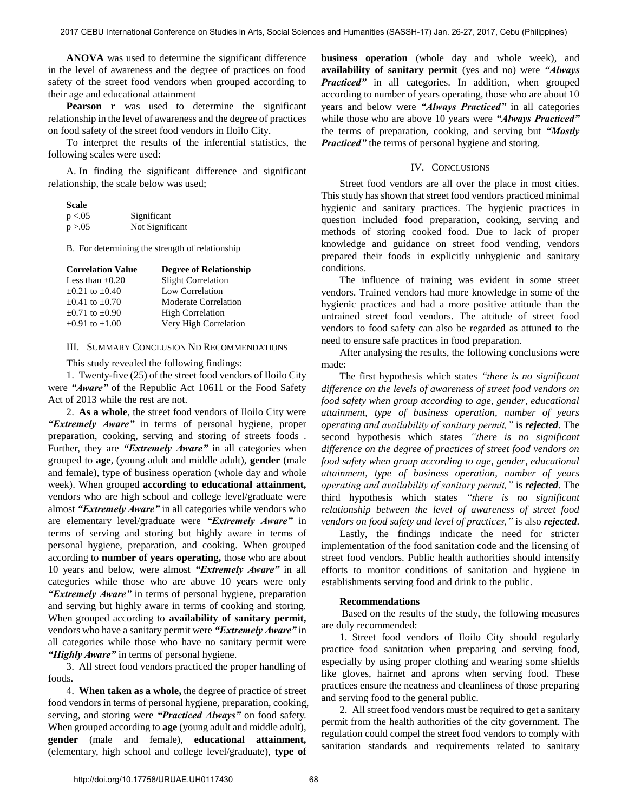**ANOVA** was used to determine the significant difference in the level of awareness and the degree of practices on food safety of the street food vendors when grouped according to their age and educational attainment

Pearson r was used to determine the significant relationship in the level of awareness and the degree of practices on food safety of the street food vendors in Iloilo City.

To interpret the results of the inferential statistics, the following scales were used:

A. In finding the significant difference and significant relationship, the scale below was used;

| <b>Scale</b> |                 |
|--------------|-----------------|
| p < 0.05     | Significant     |
| p > 0.05     | Not Significant |

B. For determining the strength of relationship

| <b>Correlation Value</b> | <b>Degree of Relationship</b> |
|--------------------------|-------------------------------|
| Less than $\pm 0.20$     | <b>Slight Correlation</b>     |
| $\pm 0.21$ to $\pm 0.40$ | Low Correlation               |
| $\pm 0.41$ to $\pm 0.70$ | <b>Moderate Correlation</b>   |
| $\pm 0.71$ to $\pm 0.90$ | <b>High Correlation</b>       |
| $\pm 0.91$ to $\pm 1.00$ | Very High Correlation         |

### III. SUMMARY CONCLUSION ND RECOMMENDATIONS

This study revealed the following findings:

1. Twenty-five (25) of the street food vendors of Iloilo City were *"Aware"* of the Republic Act 10611 or the Food Safety Act of 2013 while the rest are not.

2. **As a whole**, the street food vendors of Iloilo City were *"Extremely Aware"* in terms of personal hygiene, proper preparation, cooking, serving and storing of streets foods . Further, they are *"Extremely Aware"* in all categories when grouped to **age**, (young adult and middle adult), **gender** (male and female), type of business operation (whole day and whole week). When grouped **according to educational attainment,** vendors who are high school and college level/graduate were almost *"Extremely Aware"* in all categories while vendors who are elementary level/graduate were *"Extremely Aware"* in terms of serving and storing but highly aware in terms of personal hygiene, preparation, and cooking. When grouped according to **number of years operating,** those who are about 10 years and below, were almost *"Extremely Aware"* in all categories while those who are above 10 years were only *"Extremely Aware"* in terms of personal hygiene, preparation and serving but highly aware in terms of cooking and storing. When grouped according to **availability of sanitary permit,** vendors who have a sanitary permit were *"Extremely Aware"* in all categories while those who have no sanitary permit were *"Highly Aware"* in terms of personal hygiene.

3. All street food vendors practiced the proper handling of foods.

4. **When taken as a whole,** the degree of practice of street food vendors in terms of personal hygiene, preparation, cooking, serving, and storing were *"Practiced Always"* on food safety. When grouped according to **age** (young adult and middle adult), **gender** (male and female), **educational attainment,** (elementary, high school and college level/graduate), **type of** 

**business operation** (whole day and whole week), and **availability of sanitary permit** (yes and no) were *"Always Practiced"* in all categories. In addition, when grouped according to number of years operating, those who are about 10 years and below were *"Always Practiced"* in all categories while those who are above 10 years were *"Always Practiced"* the terms of preparation, cooking, and serving but *"Mostly Practiced*" the terms of personal hygiene and storing.

### IV. CONCLUSIONS

Street food vendors are all over the place in most cities. This study has shown that street food vendors practiced minimal hygienic and sanitary practices. The hygienic practices in question included food preparation, cooking, serving and methods of storing cooked food. Due to lack of proper knowledge and guidance on street food vending, vendors prepared their foods in explicitly unhygienic and sanitary conditions.

The influence of training was evident in some street vendors. Trained vendors had more knowledge in some of the hygienic practices and had a more positive attitude than the untrained street food vendors. The attitude of street food vendors to food safety can also be regarded as attuned to the need to ensure safe practices in food preparation.

After analysing the results, the following conclusions were made:

The first hypothesis which states *"there is no significant difference on the levels of awareness of street food vendors on food safety when group according to age, gender, educational attainment, type of business operation, number of years operating and availability of sanitary permit,"* is *rejected*. The second hypothesis which states *"there is no significant difference on the degree of practices of street food vendors on food safety when group according to age, gender, educational attainment, type of business operation, number of years operating and availability of sanitary permit,"* is *rejected*. The third hypothesis which states *"there is no significant relationship between the level of awareness of street food vendors on food safety and level of practices,"* is also *rejected*.

Lastly, the findings indicate the need for stricter implementation of the food sanitation code and the licensing of street food vendors. Public health authorities should intensify efforts to monitor conditions of sanitation and hygiene in establishments serving food and drink to the public.

#### **Recommendations**

 Based on the results of the study, the following measures are duly recommended:

1. Street food vendors of Iloilo City should regularly practice food sanitation when preparing and serving food, especially by using proper clothing and wearing some shields like gloves, hairnet and aprons when serving food. These practices ensure the neatness and cleanliness of those preparing and serving food to the general public.

2. All street food vendors must be required to get a sanitary permit from the health authorities of the city government. The regulation could compel the street food vendors to comply with sanitation standards and requirements related to sanitary